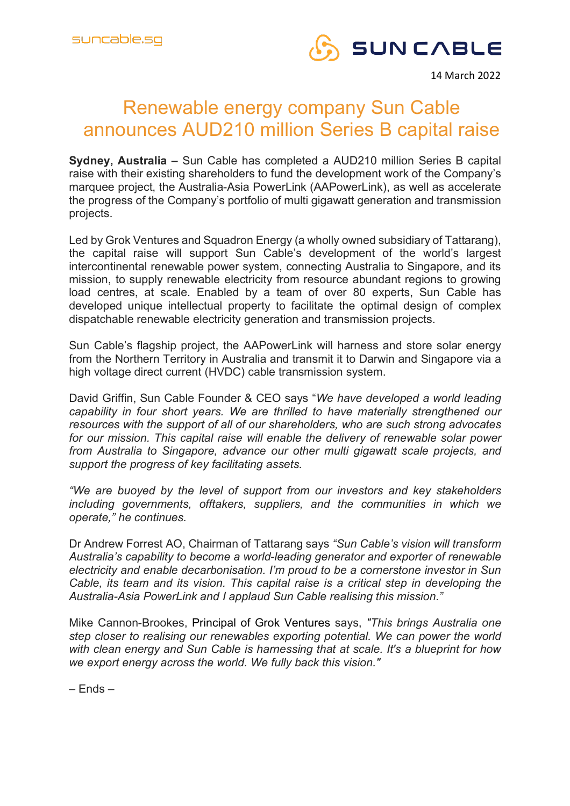

14 March 2022

## Renewable energy company Sun Cable announces AUD210 million Series B capital raise

**Sydney, Australia –** Sun Cable has completed a AUD210 million Series B capital raise with their existing shareholders to fund the development work of the Company's marquee project, the Australia-Asia PowerLink (AAPowerLink), as well as accelerate the progress of the Company's portfolio of multi gigawatt generation and transmission projects.

Led by Grok Ventures and Squadron Energy (a wholly owned subsidiary of Tattarang), the capital raise will support Sun Cable's development of the world's largest intercontinental renewable power system, connecting Australia to Singapore, and its mission, to supply renewable electricity from resource abundant regions to growing load centres, at scale. Enabled by a team of over 80 experts, Sun Cable has developed unique intellectual property to facilitate the optimal design of complex dispatchable renewable electricity generation and transmission projects.

Sun Cable's flagship project, the AAPowerLink will harness and store solar energy from the Northern Territory in Australia and transmit it to Darwin and Singapore via a high voltage direct current (HVDC) cable transmission system.

David Griffin, Sun Cable Founder & CEO says "*We have developed a world leading capability in four short years. We are thrilled to have materially strengthened our resources with the support of all of our shareholders, who are such strong advocates for our mission. This capital raise will enable the delivery of renewable solar power from Australia to Singapore, advance our other multi gigawatt scale projects, and support the progress of key facilitating assets.* 

*"We are buoyed by the level of support from our investors and key stakeholders including governments, offtakers, suppliers, and the communities in which we operate," he continues.*

Dr Andrew Forrest AO, Chairman of Tattarang says *"Sun Cable's vision will transform Australia's capability to become a world-leading generator and exporter of renewable electricity and enable decarbonisation. I'm proud to be a cornerstone investor in Sun Cable, its team and its vision. This capital raise is a critical step in developing the Australia-Asia PowerLink and I applaud Sun Cable realising this mission."*

Mike Cannon-Brookes, Principal of Grok Ventures says, *"This brings Australia one step closer to realising our renewables exporting potential. We can power the world with clean energy and Sun Cable is harnessing that at scale. It's a blueprint for how we export energy across the world. We fully back this vision."*

– Ends –